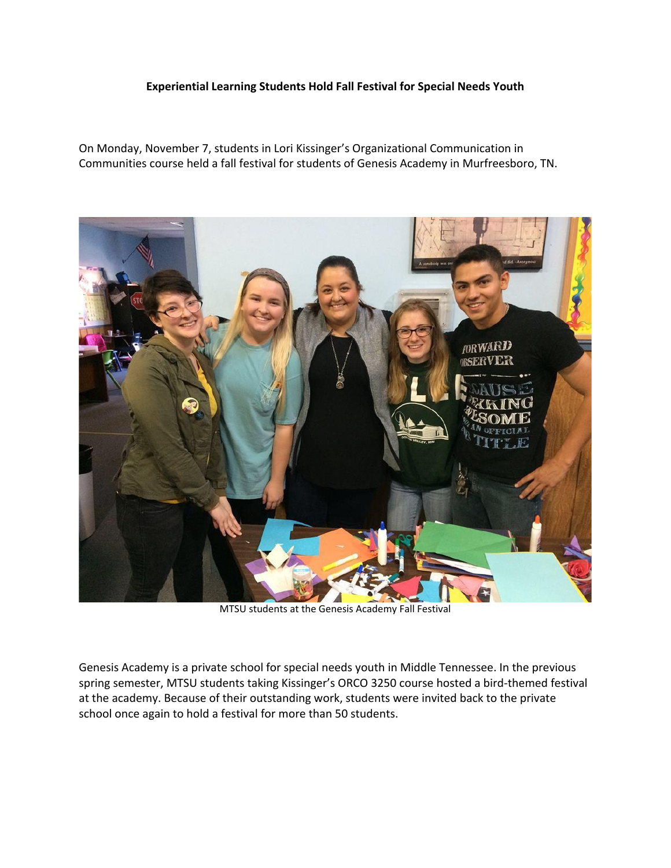## **Experiential Learning Students Hold Fall Festival for Special Needs Youth**

On Monday, November 7, students in Lori Kissinger's Organizational Communication in Communities course held a fall festival for students of Genesis Academy in Murfreesboro, TN.



MTSU students at the Genesis Academy Fall Festival

Genesis Academy is a private school for special needs youth in Middle Tennessee. In the previous spring semester, MTSU students taking Kissinger's ORCO 3250 course hosted a bird-themed festival at the academy. Because of their outstanding work, students were invited back to the private school once again to hold a festival for more than 50 students.